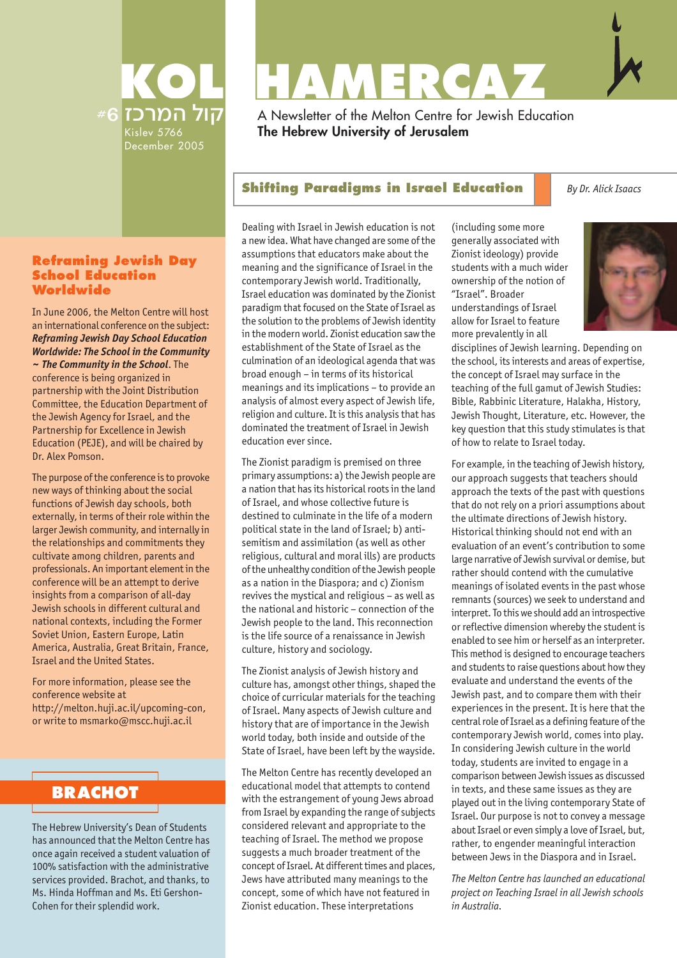

# KOL HAMERCAY

A Newsletter of the Melton Centre for Jewish Education **The Hebrew University of Jerusalem**

#### **Shifting Paradigms in Israel Education By Dr. Alick Isaacs**

#### **Reframing Jewish Day School Education Worldwide**

In June 2006, the Melton Centre will host an international conference on the subject: *Reframing Jewish Day School Education Worldwide: The School in the Community ~ The Community in the School*. The conference is being organized in partnership with the Joint Distribution Committee, the Education Department of the Jewish Agency for Israel, and the Partnership for Excellence in Jewish Education (PEJE), and will be chaired by Dr. Alex Pomson.

The purpose of the conference is to provoke new ways of thinking about the social functions of Jewish day schools, both externally, in terms of their role within the larger Jewish community, and internally in the relationships and commitments they cultivate among children, parents and professionals. An important element in the conference will be an attempt to derive insights from a comparison of all-day Jewish schools in different cultural and national contexts, including the Former Soviet Union, Eastern Europe, Latin America, Australia, Great Britain, France, Israel and the United States.

For more information, please see the conference website at http://melton.huji.ac.il/upcoming-con, or write to msmarko@mscc.huji.ac.il

## **BRACHOT**

The Hebrew University's Dean of Students has announced that the Melton Centre has once again received a student valuation of 100% satisfaction with the administrative services provided. Brachot, and thanks, to Ms. Hinda Hoffman and Ms. Eti Gershon-Cohen for their splendid work.

Dealing with Israel in Jewish education is not a new idea. What have changed are some of the assumptions that educators make about the meaning and the significance of Israel in the contemporary Jewish world. Traditionally, Israel education was dominated by the Zionist paradigm that focused on the State of Israel as the solution to the problems of Jewish identity in the modern world. Zionist education saw the establishment of the State of Israel as the culmination of an ideological agenda that was broad enough – in terms of its historical meanings and its implications – to provide an analysis of almost every aspect of Jewish life, religion and culture. It is this analysis that has dominated the treatment of Israel in Jewish education ever since.

The Zionist paradigm is premised on three primary assumptions: a) the Jewish people are a nation that has its historical roots in the land of Israel, and whose collective future is destined to culminate in the life of a modern political state in the land of Israel; b) antisemitism and assimilation (as well as other religious, cultural and moral ills) are products of the unhealthy condition of the Jewish people as a nation in the Diaspora; and c) Zionism revives the mystical and religious – as well as the national and historic – connection of the Jewish people to the land. This reconnection is the life source of a renaissance in Jewish culture, history and sociology.

The Zionist analysis of Jewish history and culture has, amongst other things, shaped the choice of curricular materials for the teaching of Israel. Many aspects of Jewish culture and history that are of importance in the Jewish world today, both inside and outside of the State of Israel, have been left by the wayside.

The Melton Centre has recently developed an educational model that attempts to contend with the estrangement of young Jews abroad from Israel by expanding the range of subjects considered relevant and appropriate to the teaching of Israel. The method we propose suggests a much broader treatment of the concept of Israel. At different times and places, Jews have attributed many meanings to the concept, some of which have not featured in Zionist education. These interpretations

(including some more generally associated with Zionist ideology) provide students with a much wider ownership of the notion of "Israel". Broader understandings of Israel allow for Israel to feature more prevalently in all



disciplines of Jewish learning. Depending on the school, its interests and areas of expertise, the concept of Israel may surface in the teaching of the full gamut of Jewish Studies: Bible, Rabbinic Literature, Halakha, History, Jewish Thought, Literature, etc. However, the key question that this study stimulates is that of how to relate to Israel today.

For example, in the teaching of Jewish history, our approach suggests that teachers should approach the texts of the past with questions that do not rely on a priori assumptions about the ultimate directions of Jewish history. Historical thinking should not end with an evaluation of an event's contribution to some large narrative of Jewish survival or demise, but rather should contend with the cumulative meanings of isolated events in the past whose remnants (sources) we seek to understand and interpret. To this we should add an introspective or reflective dimension whereby the student is enabled to see him or herself as an interpreter. This method is designed to encourage teachers and students to raise questions about how they evaluate and understand the events of the Jewish past, and to compare them with their experiences in the present. It is here that the central role of Israel as a defining feature of the contemporary Jewish world, comes into play. In considering Jewish culture in the world today, students are invited to engage in a comparison between Jewish issues as discussed in texts, and these same issues as they are played out in the living contemporary State of Israel. Our purpose is not to convey a message about Israel or even simply a love of Israel, but, rather, to engender meaningful interaction between Jews in the Diaspora and in Israel.

*The Melton Centre has launched an educational project on Teaching Israel in all Jewish schools in Australia.*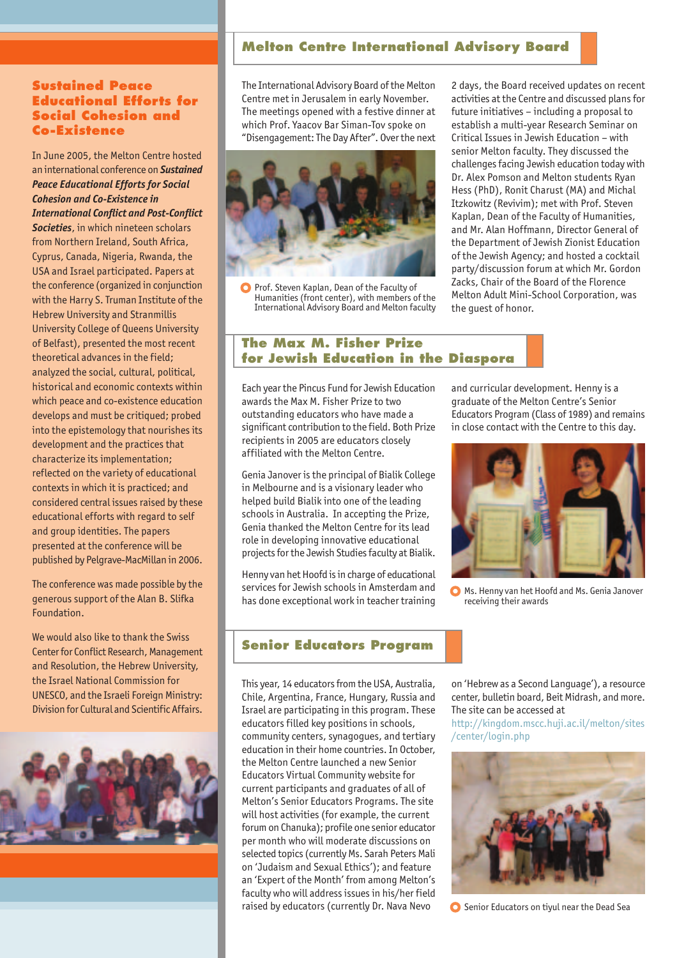#### **Sustained Peace Educational Efforts for Social Cohesion and Co-Existence**

In June 2005, the Melton Centre hosted an international conference on *Sustained Peace Educational Efforts for Social Cohesion and Co-Existence in International Conflict and Post-Conflict Societies*, in which nineteen scholars from Northern Ireland, South Africa, Cyprus, Canada, Nigeria, Rwanda, the USA and Israel participated. Papers at the conference (organized in conjunction with the Harry S. Truman Institute of the Hebrew University and Stranmillis University College of Queens University of Belfast), presented the most recent theoretical advances in the field; analyzed the social, cultural, political, historical and economic contexts within which peace and co-existence education develops and must be critiqued; probed into the epistemology that nourishes its development and the practices that characterize its implementation; reflected on the variety of educational contexts in which it is practiced; and considered central issues raised by these educational efforts with regard to self and group identities. The papers presented at the conference will be published by Pelgrave-MacMillan in 2006.

The conference was made possible by the generous support of the Alan B. Slifka Foundation.

We would also like to thank the Swiss Center for Conflict Research, Management and Resolution, the Hebrew University, the Israel National Commission for UNESCO, and the Israeli Foreign Ministry: Division for Cultural and Scientific Affairs.



#### **Melton Centre International Advisory Board**

The International Advisory Board of the Melton Centre met in Jerusalem in early November. The meetings opened with a festive dinner at which Prof. Yaacov Bar Siman-Tov spoke on "Disengagement: The Day After". Over the next



Prof. Steven Kaplan, Dean of the Faculty of Humanities (front center), with members of the International Advisory Board and Melton faculty

2 days, the Board received updates on recent activities at the Centre and discussed plans for future initiatives – including a proposal to establish a multi-year Research Seminar on Critical Issues in Jewish Education – with senior Melton faculty. They discussed the challenges facing Jewish education today with Dr. Alex Pomson and Melton students Ryan Hess (PhD), Ronit Charust (MA) and Michal Itzkowitz (Revivim); met with Prof. Steven Kaplan, Dean of the Faculty of Humanities, and Mr. Alan Hoffmann, Director General of the Department of Jewish Zionist Education of the Jewish Agency; and hosted a cocktail party/discussion forum at which Mr. Gordon Zacks, Chair of the Board of the Florence Melton Adult Mini-School Corporation, was the guest of honor.

#### **The Max M. Fisher Prize for Jewish Education in the Diaspora**

Each year the Pincus Fund for Jewish Education awards the Max M. Fisher Prize to two outstanding educators who have made a significant contribution to the field. Both Prize recipients in 2005 are educators closely affiliated with the Melton Centre.

Genia Janover is the principal of Bialik College in Melbourne and is a visionary leader who helped build Bialik into one of the leading schools in Australia. In accepting the Prize, Genia thanked the Melton Centre for its lead role in developing innovative educational projects for the Jewish Studies faculty at Bialik.

Henny van het Hoofd is in charge of educational services for Jewish schools in Amsterdam and has done exceptional work in teacher training

#### **Senior Educators Program**

This year, 14 educators from the USA, Australia, Chile, Argentina, France, Hungary, Russia and Israel are participating in this program. These educators filled key positions in schools, community centers, synagogues, and tertiary education in their home countries. In October, the Melton Centre launched a new Senior Educators Virtual Community website for current participants and graduates of all of Melton's Senior Educators Programs. The site will host activities (for example, the current forum on Chanuka); profile one senior educator per month who will moderate discussions on selected topics (currently Ms. Sarah Peters Mali on 'Judaism and Sexual Ethics'); and feature an 'Expert of the Month' from among Melton's faculty who will address issues in his/her field raised by educators (currently Dr. Nava Nevo

and curricular development. Henny is a graduate of the Melton Centre's Senior Educators Program (Class of 1989) and remains in close contact with the Centre to this day.



**O** Ms. Henny van het Hoofd and Ms. Genia Janover receiving their awards

on 'Hebrew as a Second Language'), a resource center, bulletin board, Beit Midrash, and more. The site can be accessed at

http://kingdom.mscc.huji.ac.il/melton/sites /center/login.php



Senior Educators on tivul near the Dead Sea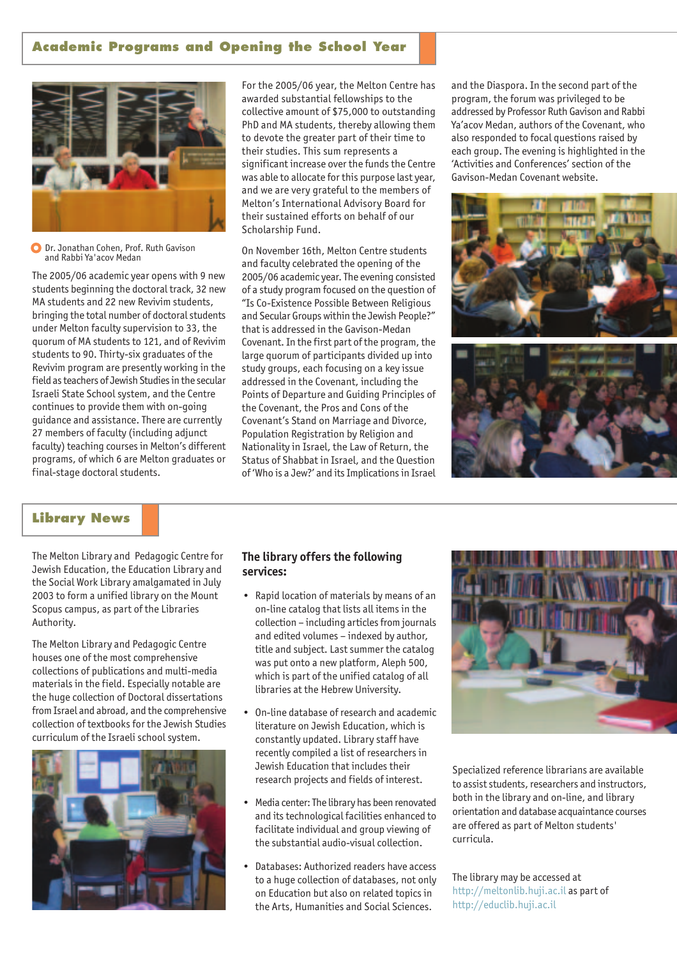#### **Academic Programs and Opening the School Year**



#### O Dr. Jonathan Cohen, Prof. Ruth Gavison and Rabbi Ya'acov Medan

The 2005/06 academic year opens with 9 new students beginning the doctoral track, 32 new MA students and 22 new Revivim students, bringing the total number of doctoral students under Melton faculty supervision to 33, the quorum of MA students to 121, and of Revivim students to 90. Thirty-six graduates of the Revivim program are presently working in the field as teachers of Jewish Studies in the secular Israeli State School system, and the Centre continues to provide them with on-going guidance and assistance. There are currently 27 members of faculty (including adjunct faculty) teaching courses in Melton's different programs, of which 6 are Melton graduates or final-stage doctoral students.

For the 2005/06 year, the Melton Centre has awarded substantial fellowships to the collective amount of \$75,000 to outstanding PhD and MA students, thereby allowing them to devote the greater part of their time to their studies. This sum represents a significant increase over the funds the Centre was able to allocate for this purpose last year, and we are very grateful to the members of Melton's International Advisory Board for their sustained efforts on behalf of our Scholarship Fund.

On November 16th, Melton Centre students and faculty celebrated the opening of the 2005/06 academic year. The evening consisted of a study program focused on the question of "Is Co-Existence Possible Between Religious and Secular Groups within the Jewish People?" that is addressed in the Gavison-Medan Covenant. In the first part of the program, the large quorum of participants divided up into study groups, each focusing on a key issue addressed in the Covenant, including the Points of Departure and Guiding Principles of the Covenant, the Pros and Cons of the Covenant's Stand on Marriage and Divorce, Population Registration by Religion and Nationality in Israel, the Law of Return, the Status of Shabbat in Israel, and the Question of 'Who is a Jew?' and its Implications in Israel and the Diaspora. In the second part of the program, the forum was privileged to be addressed by Professor Ruth Gavison and Rabbi Ya'acov Medan, authors of the Covenant, who also responded to focal questions raised by each group. The evening is highlighted in the 'Activities and Conferences' section of the Gavison-Medan Covenant website.





#### **Library News**

The Melton Library and Pedagogic Centre for Jewish Education, the Education Library and the Social Work Library amalgamated in July 2003 to form a unified library on the Mount Scopus campus, as part of the Libraries Authority.

The Melton Library and Pedagogic Centre houses one of the most comprehensive collections of publications and multi-media materials in the field. Especially notable are the huge collection of Doctoral dissertations from Israel and abroad, and the comprehensive collection of textbooks for the Jewish Studies curriculum of the Israeli school system.



#### **The library offers the following** services:

- Rapid location of materials by means of an on-line catalog that lists all items in the collection – including articles from journals and edited volumes – indexed by author, title and subject. Last summer the catalog was put onto a new platform, Aleph 500, which is part of the unified catalog of all libraries at the Hebrew University.
- On-line database of research and academic literature on Jewish Education, which is constantly updated. Library staff have recently compiled a list of researchers in Jewish Education that includes their research projects and fields of interest.
- Media center: The library has been renovated and its technological facilities enhanced to facilitate individual and group viewing of the substantial audio-visual collection.
- Databases: Authorized readers have access to a huge collection of databases, not only on Education but also on related topics in the Arts, Humanities and Social Sciences.



Specialized reference librarians are available to assist students, researchers and instructors, both in the library and on-line, and library orientation and database acquaintance courses are offered as part of Melton students' curricula.

The library may be accessed at http://meltonlib.huji.ac.il as part of http://educlib.huji.ac.il